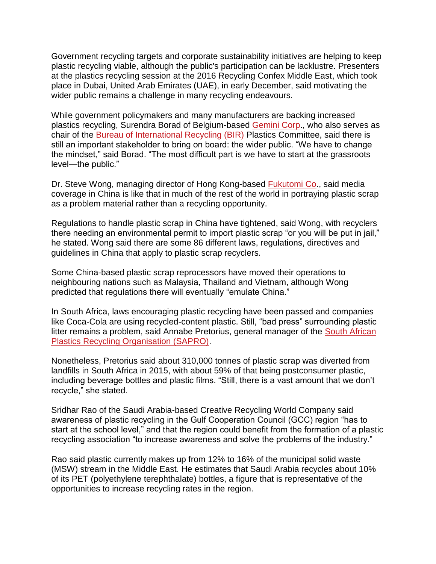Government recycling targets and corporate sustainability initiatives are helping to keep plastic recycling viable, although the public's participation can be lacklustre. Presenters at the plastics recycling session at the 2016 Recycling Confex Middle East, which took place in Dubai, United Arab Emirates (UAE), in early December, said motivating the wider public remains a challenge in many recycling endeavours.

While government policymakers and many manufacturers are backing increased plastics recycling, Surendra Borad of Belgium-based [Gemini Corp.](http://www.geminicorp.be/), who also serves as chair of the [Bureau of International Recycling \(BIR\)](http://www.bir.org/) Plastics Committee, said there is still an important stakeholder to bring on board: the wider public. "We have to change the mindset," said Borad. "The most difficult part is we have to start at the grassroots level—the public."

Dr. Steve Wong, managing director of Hong Kong-based **[Fukutomi Co.](http://www.fukutomi.com.hk/)**, said media coverage in China is like that in much of the rest of the world in portraying plastic scrap as a problem material rather than a recycling opportunity.

Regulations to handle plastic scrap in China have tightened, said Wong, with recyclers there needing an environmental permit to import plastic scrap "or you will be put in jail," he stated. Wong said there are some 86 different laws, regulations, directives and guidelines in China that apply to plastic scrap recyclers.

Some China-based plastic scrap reprocessors have moved their operations to neighbouring nations such as Malaysia, Thailand and Vietnam, although Wong predicted that regulations there will eventually "emulate China."

In South Africa, laws encouraging plastic recycling have been passed and companies like Coca-Cola are using recycled-content plastic. Still, "bad press" surrounding plastic litter remains a problem, said Annabe Pretorius, general manager of the [South African](http://www.plasticrecyclingsa.co.za/)  [Plastics Recycling Organisation \(SAPRO\).](http://www.plasticrecyclingsa.co.za/)

Nonetheless, Pretorius said about 310,000 tonnes of plastic scrap was diverted from landfills in South Africa in 2015, with about 59% of that being postconsumer plastic, including beverage bottles and plastic films. "Still, there is a vast amount that we don't recycle," she stated.

Sridhar Rao of the Saudi Arabia-based Creative Recycling World Company said awareness of plastic recycling in the Gulf Cooperation Council (GCC) region "has to start at the school level," and that the region could benefit from the formation of a plastic recycling association "to increase awareness and solve the problems of the industry."

Rao said plastic currently makes up from 12% to 16% of the municipal solid waste (MSW) stream in the Middle East. He estimates that Saudi Arabia recycles about 10% of its PET (polyethylene terephthalate) bottles, a figure that is representative of the opportunities to increase recycling rates in the region.